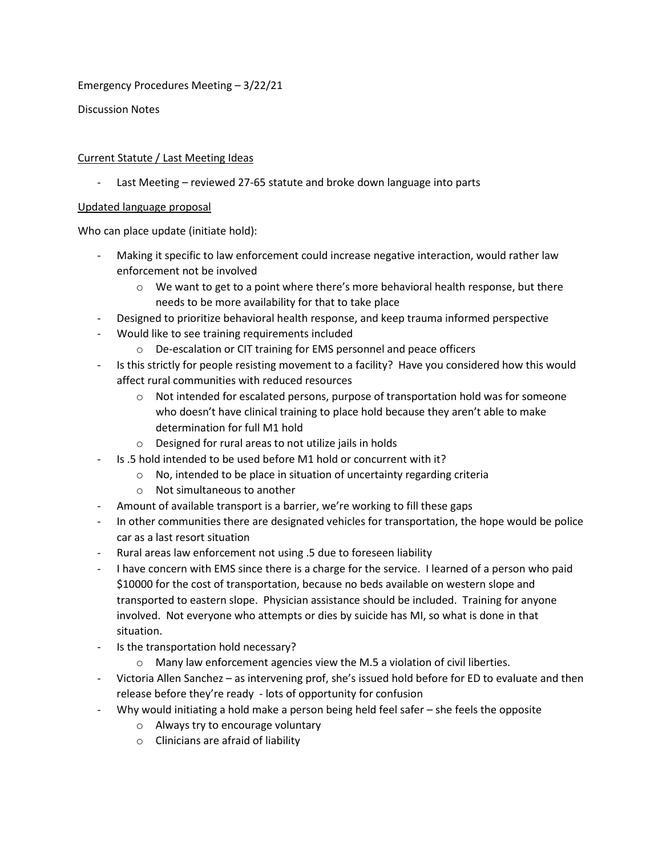Emergency Procedures Meeting – 3/22/21

Discussion Notes

## Current Statute / Last Meeting Ideas

- Last Meeting – reviewed 27-65 statute and broke down language into parts

## Updated language proposal

Who can place update (initiate hold):

- Making it specific to law enforcement could increase negative interaction, would rather law enforcement not be involved
	- $\circ$  We want to get to a point where there's more behavioral health response, but there needs to be more availability for that to take place
	- Designed to prioritize behavioral health response, and keep trauma informed perspective
- Would like to see training requirements included
	- o De-escalation or CIT training for EMS personnel and peace officers
- Is this strictly for people resisting movement to a facility? Have you considered how this would affect rural communities with reduced resources
	- $\circ$  Not intended for escalated persons, purpose of transportation hold was for someone who doesn't have clinical training to place hold because they aren't able to make determination for full M1 hold
	- o Designed for rural areas to not utilize jails in holds
	- Is .5 hold intended to be used before M1 hold or concurrent with it?
		- o No, intended to be place in situation of uncertainty regarding criteria
		- o Not simultaneous to another
- Amount of available transport is a barrier, we're working to fill these gaps
- In other communities there are designated vehicles for transportation, the hope would be police car as a last resort situation
- Rural areas law enforcement not using .5 due to foreseen liability
- I have concern with EMS since there is a charge for the service. I learned of a person who paid \$10000 for the cost of transportation, because no beds available on western slope and transported to eastern slope. Physician assistance should be included. Training for anyone involved. Not everyone who attempts or dies by suicide has MI, so what is done in that situation.
- Is the transportation hold necessary?
	- o Many law enforcement agencies view the M.5 a violation of civil liberties.
- Victoria Allen Sanchez as intervening prof, she's issued hold before for ED to evaluate and then release before they're ready - lots of opportunity for confusion
	- Why would initiating a hold make a person being held feel safer she feels the opposite
		- o Always try to encourage voluntary
		- o Clinicians are afraid of liability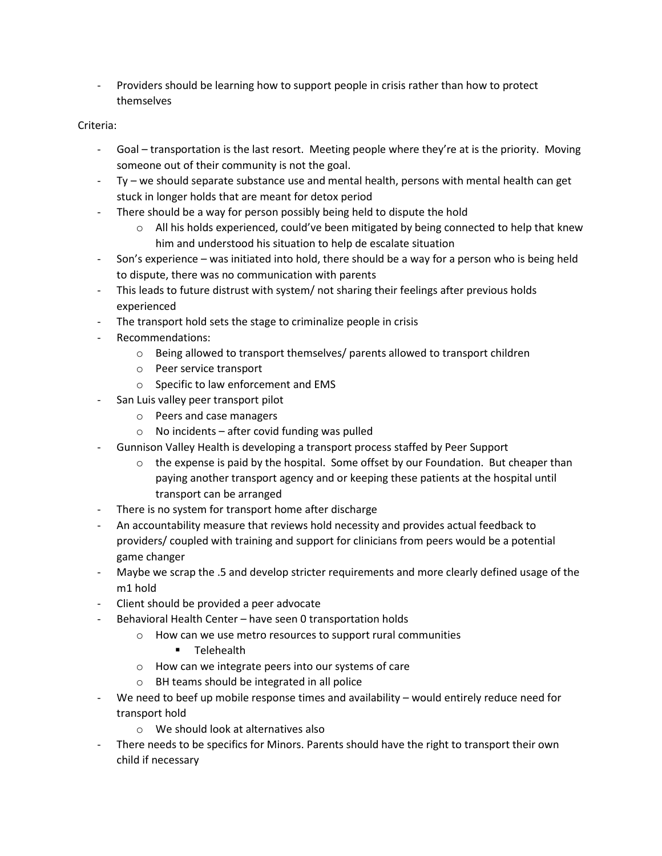- Providers should be learning how to support people in crisis rather than how to protect themselves

## Criteria:

- Goal transportation is the last resort. Meeting people where they're at is the priority. Moving someone out of their community is not the goal.
- Ty we should separate substance use and mental health, persons with mental health can get stuck in longer holds that are meant for detox period
- There should be a way for person possibly being held to dispute the hold
	- $\circ$  All his holds experienced, could've been mitigated by being connected to help that knew him and understood his situation to help de escalate situation
- Son's experience was initiated into hold, there should be a way for a person who is being held to dispute, there was no communication with parents
- This leads to future distrust with system/ not sharing their feelings after previous holds experienced
- The transport hold sets the stage to criminalize people in crisis
- Recommendations:
	- $\circ$  Being allowed to transport themselves/ parents allowed to transport children
	- o Peer service transport
	- o Specific to law enforcement and EMS
- San Luis valley peer transport pilot
	- o Peers and case managers
	- $\circ$  No incidents after covid funding was pulled
- Gunnison Valley Health is developing a transport process staffed by Peer Support
	- o the expense is paid by the hospital. Some offset by our Foundation. But cheaper than paying another transport agency and or keeping these patients at the hospital until transport can be arranged
- There is no system for transport home after discharge
- An accountability measure that reviews hold necessity and provides actual feedback to providers/ coupled with training and support for clinicians from peers would be a potential game changer
- Maybe we scrap the .5 and develop stricter requirements and more clearly defined usage of the m1 hold
- Client should be provided a peer advocate
- Behavioral Health Center have seen 0 transportation holds
	- o How can we use metro resources to support rural communities
		- **Telehealth**
	- o How can we integrate peers into our systems of care
	- o BH teams should be integrated in all police
- We need to beef up mobile response times and availability would entirely reduce need for transport hold
	- o We should look at alternatives also
- There needs to be specifics for Minors. Parents should have the right to transport their own child if necessary